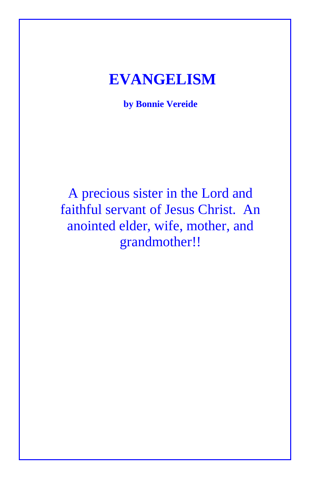## **EVANGELISM**

**by Bonnie Vereide**

A precious sister in the Lord and faithful servant of Jesus Christ. An anointed elder, wife, mother, and grandmother!!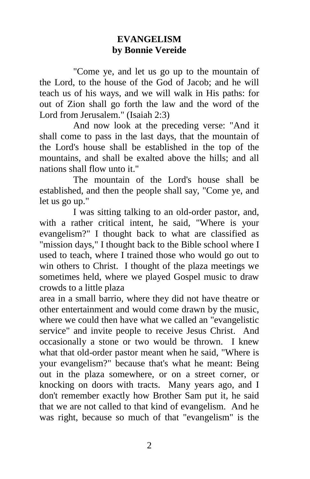## **EVANGELISM by Bonnie Vereide**

"Come ye, and let us go up to the mountain of the Lord, to the house of the God of Jacob; and he will teach us of his ways, and we will walk in His paths: for out of Zion shall go forth the law and the word of the Lord from Jerusalem." (Isaiah 2:3)

And now look at the preceding verse: "And it shall come to pass in the last days, that the mountain of the Lord's house shall be established in the top of the mountains, and shall be exalted above the hills; and all nations shall flow unto it."

The mountain of the Lord's house shall be established, and then the people shall say, "Come ye, and let us go up."

I was sitting talking to an old-order pastor, and, with a rather critical intent, he said, "Where is your evangelism?" I thought back to what are classified as "mission days," I thought back to the Bible school where I used to teach, where I trained those who would go out to win others to Christ. I thought of the plaza meetings we sometimes held, where we played Gospel music to draw crowds to a little plaza

area in a small barrio, where they did not have theatre or other entertainment and would come drawn by the music, where we could then have what we called an "evangelistic service" and invite people to receive Jesus Christ. And occasionally a stone or two would be thrown. I knew what that old-order pastor meant when he said, "Where is your evangelism?" because that's what he meant: Being out in the plaza somewhere, or on a street corner, or knocking on doors with tracts. Many years ago, and I don't remember exactly how Brother Sam put it, he said that we are not called to that kind of evangelism. And he was right, because so much of that "evangelism" is the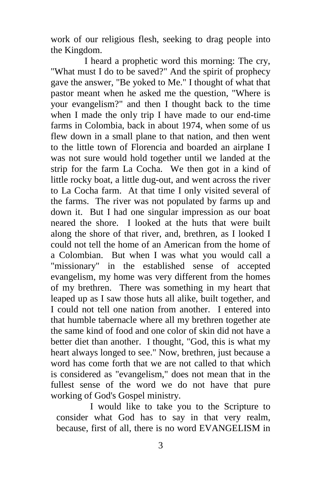work of our religious flesh, seeking to drag people into the Kingdom.

I heard a prophetic word this morning: The cry, "What must I do to be saved?" And the spirit of prophecy gave the answer, "Be yoked to Me." I thought of what that pastor meant when he asked me the question, "Where is your evangelism?" and then I thought back to the time when I made the only trip I have made to our end-time farms in Colombia, back in about 1974, when some of us flew down in a small plane to that nation, and then went to the little town of Florencia and boarded an airplane I was not sure would hold together until we landed at the strip for the farm La Cocha. We then got in a kind of little rocky boat, a little dug-out, and went across the river to La Cocha farm. At that time I only visited several of the farms. The river was not populated by farms up and down it. But I had one singular impression as our boat neared the shore. I looked at the huts that were built along the shore of that river, and, brethren, as I looked I could not tell the home of an American from the home of a Colombian. But when I was what you would call a "missionary" in the established sense of accepted evangelism, my home was very different from the homes of my brethren. There was something in my heart that leaped up as I saw those huts all alike, built together, and I could not tell one nation from another. I entered into that humble tabernacle where all my brethren together ate the same kind of food and one color of skin did not have a better diet than another. I thought, "God, this is what my heart always longed to see." Now, brethren, just because a word has come forth that we are not called to that which is considered as "evangelism," does not mean that in the fullest sense of the word we do not have that pure working of God's Gospel ministry.

I would like to take you to the Scripture to consider what God has to say in that very realm, because, first of all, there is no word EVANGELISM in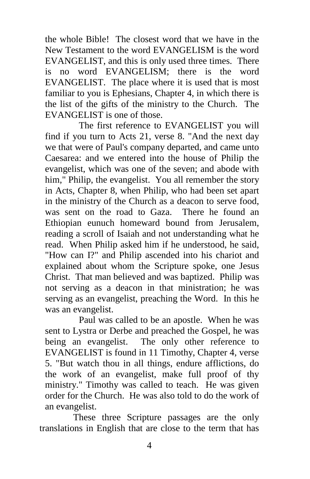the whole Bible! The closest word that we have in the New Testament to the word EVANGELISM is the word EVANGELIST, and this is only used three times. There is no word EVANGELISM; there is the word EVANGELIST. The place where it is used that is most familiar to you is Ephesians, Chapter 4, in which there is the list of the gifts of the ministry to the Church. The EVANGELIST is one of those.

The first reference to EVANGELIST you will find if you turn to Acts 21, verse 8. "And the next day we that were of Paul's company departed, and came unto Caesarea: and we entered into the house of Philip the evangelist, which was one of the seven; and abode with him," Philip, the evangelist. You all remember the story in Acts, Chapter 8, when Philip, who had been set apart in the ministry of the Church as a deacon to serve food, was sent on the road to Gaza. There he found an Ethiopian eunuch homeward bound from Jerusalem, reading a scroll of Isaiah and not understanding what he read. When Philip asked him if he understood, he said, "How can I?" and Philip ascended into his chariot and explained about whom the Scripture spoke, one Jesus Christ. That man believed and was baptized. Philip was not serving as a deacon in that ministration; he was serving as an evangelist, preaching the Word. In this he was an evangelist.

Paul was called to be an apostle. When he was sent to Lystra or Derbe and preached the Gospel, he was being an evangelist. The only other reference to EVANGELIST is found in 11 Timothy, Chapter 4, verse 5. "But watch thou in all things, endure afflictions, do the work of an evangelist, make full proof of thy ministry." Timothy was called to teach. He was given order for the Church. He was also told to do the work of an evangelist.

These three Scripture passages are the only translations in English that are close to the term that has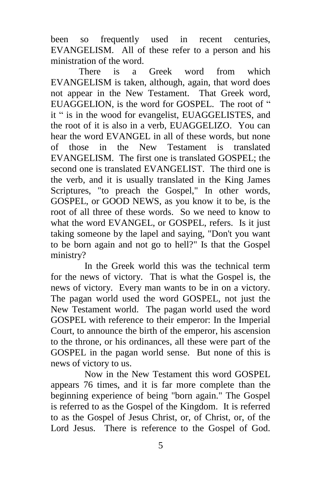been so frequently used in recent centuries, EVANGELISM. All of these refer to a person and his ministration of the word.

There is a Greek word from which EVANGELISM is taken, although, again, that word does not appear in the New Testament. That Greek word, EUAGGELION, is the word for GOSPEL. The root of " it " is in the wood for evangelist, EUAGGELISTES, and the root of it is also in a verb, EUAGGELIZO. You can hear the word EVANGEL in all of these words, but none of those in the New Testament is translated EVANGELISM. The first one is translated GOSPEL; the second one is translated EVANGELIST. The third one is the verb, and it is usually translated in the King James Scriptures, "to preach the Gospel," In other words, GOSPEL, or GOOD NEWS, as you know it to be, is the root of all three of these words. So we need to know to what the word EVANGEL, or GOSPEL, refers. Is it just taking someone by the lapel and saying, "Don't you want to be born again and not go to hell?" Is that the Gospel ministry?

In the Greek world this was the technical term for the news of victory. That is what the Gospel is, the news of victory. Every man wants to be in on a victory. The pagan world used the word GOSPEL, not just the New Testament world. The pagan world used the word GOSPEL with reference to their emperor: In the Imperial Court, to announce the birth of the emperor, his ascension to the throne, or his ordinances, all these were part of the GOSPEL in the pagan world sense. But none of this is news of victory to us.

Now in the New Testament this word GOSPEL appears 76 times, and it is far more complete than the beginning experience of being "born again." The Gospel is referred to as the Gospel of the Kingdom. It is referred to as the Gospel of Jesus Christ, or, of Christ, or, of the Lord Jesus. There is reference to the Gospel of God.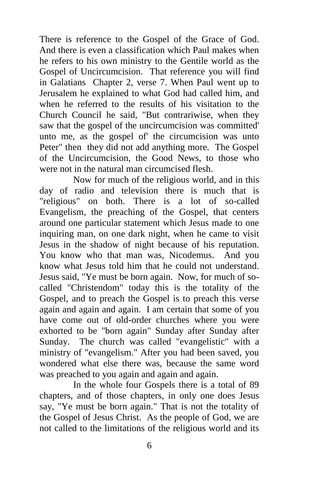There is reference to the Gospel of the Grace of God. And there is even a classification which Paul makes when he refers to his own ministry to the Gentile world as the Gospel of Uncircumcision. That reference you will find in Galatians Chapter 2, verse 7. When Paul went up to Jerusalem he explained to what God had called him, and when he referred to the results of his visitation to the Church Council he said, "But contrariwise, when they saw that the gospel of the uncircumcision was committed' unto me, as the gospel of' the circumcision was unto Peter" then they did not add anything more. The Gospel of the Uncircumcision, the Good News, to those who were not in the natural man circumcised flesh.

Now for much of the religious world, and in this day of radio and television there is much that is "religious" on both. There is a lot of so-called Evangelism, the preaching of the Gospel, that centers around one particular statement which Jesus made to one inquiring man, on one dark night, when he came to visit Jesus in the shadow of night because of his reputation. You know who that man was, Nicodemus. And you know what Jesus told him that he could not understand. Jesus said, "Ye must be born again. Now, for much of socalled "Christendom" today this is the totality of the Gospel, and to preach the Gospel is to preach this verse again and again and again. I am certain that some of you have come out of old-order churches where you were exhorted to be "born again" Sunday after Sunday after Sunday. The church was called "evangelistic" with a ministry of "evangelism." After you had been saved, you wondered what else there was, because the same word was preached to you again and again and again.

In the whole four Gospels there is a total of 89 chapters, and of those chapters, in only one does Jesus say, "Ye must be born again." That is not the totality of the Gospel of Jesus Christ. As the people of God, we are not called to the limitations of the religious world and its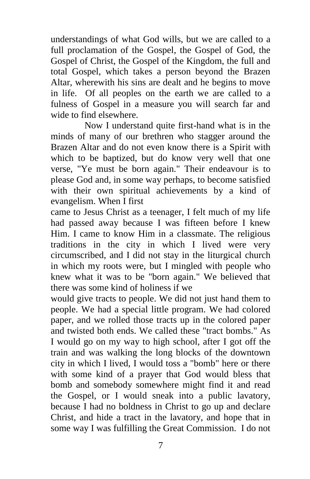understandings of what God wills, but we are called to a full proclamation of the Gospel, the Gospel of God, the Gospel of Christ, the Gospel of the Kingdom, the full and total Gospel, which takes a person beyond the Brazen Altar, wherewith his sins are dealt and he begins to move in life. Of all peoples on the earth we are called to a fulness of Gospel in a measure you will search far and wide to find elsewhere.

Now I understand quite first-hand what is in the minds of many of our brethren who stagger around the Brazen Altar and do not even know there is a Spirit with which to be baptized, but do know very well that one verse, "Ye must be born again." Their endeavour is to please God and, in some way perhaps, to become satisfied with their own spiritual achievements by a kind of evangelism. When I first

came to Jesus Christ as a teenager, I felt much of my life had passed away because I was fifteen before I knew Him. I came to know Him in a classmate. The religious traditions in the city in which I lived were very circumscribed, and I did not stay in the liturgical church in which my roots were, but I mingled with people who knew what it was to be "born again." We believed that there was some kind of holiness if we

would give tracts to people. We did not just hand them to people. We had a special little program. We had colored paper, and we rolled those tracts up in the colored paper and twisted both ends. We called these "tract bombs." As I would go on my way to high school, after I got off the train and was walking the long blocks of the downtown city in which I lived, I would toss a "bomb" here or there with some kind of a prayer that God would bless that bomb and somebody somewhere might find it and read the Gospel, or I would sneak into a public lavatory, because I had no boldness in Christ to go up and declare Christ, and hide a tract in the lavatory, and hope that in some way I was fulfilling the Great Commission. I do not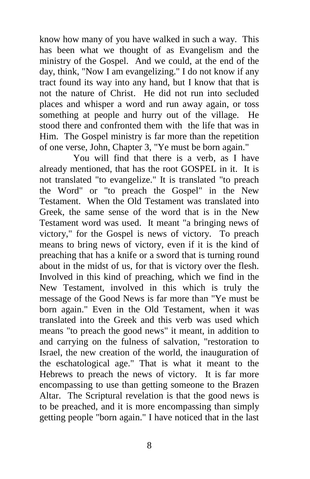know how many of you have walked in such a way. This has been what we thought of as Evangelism and the ministry of the Gospel. And we could, at the end of the day, think, "Now I am evangelizing." I do not know if any tract found its way into any hand, but I know that that is not the nature of Christ. He did not run into secluded places and whisper a word and run away again, or toss something at people and hurry out of the village. He stood there and confronted them with the life that was in Him. The Gospel ministry is far more than the repetition of one verse, John, Chapter 3, "Ye must be born again."

You will find that there is a verb, as I have already mentioned, that has the root GOSPEL in it. It is not translated "to evangelize." It is translated "to preach the Word" or "to preach the Gospel" in the New Testament. When the Old Testament was translated into Greek, the same sense of the word that is in the New Testament word was used. It meant "a bringing news of victory," for the Gospel is news of victory. To preach means to bring news of victory, even if it is the kind of preaching that has a knife or a sword that is turning round about in the midst of us, for that is victory over the flesh. Involved in this kind of preaching, which we find in the New Testament, involved in this which is truly the message of the Good News is far more than "Ye must be born again." Even in the Old Testament, when it was translated into the Greek and this verb was used which means "to preach the good news" it meant, in addition to and carrying on the fulness of salvation, "restoration to Israel, the new creation of the world, the inauguration of the eschatological age." That is what it meant to the Hebrews to preach the news of victory. It is far more encompassing to use than getting someone to the Brazen Altar. The Scriptural revelation is that the good news is to be preached, and it is more encompassing than simply getting people "born again." I have noticed that in the last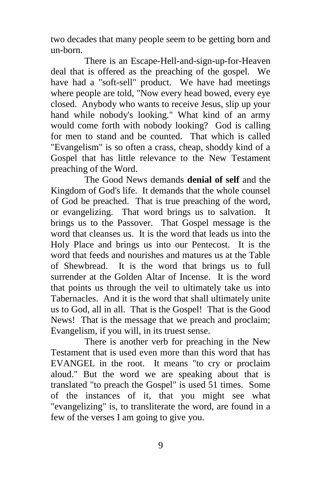two decades that many people seem to be getting born and un-born.

There is an Escape-Hell-and-sign-up-for-Heaven deal that is offered as the preaching of the gospel. We have had a "soft-sell" product. We have had meetings where people are told, "Now every head bowed, every eye closed. Anybody who wants to receive Jesus, slip up your hand while nobody's looking." What kind of an army would come forth with nobody looking? God is calling for men to stand and be counted. That which is called "Evangelism" is so often a crass, cheap, shoddy kind of a Gospel that has little relevance to the New Testament preaching of the Word.

The Good News demands **denial of self** and the Kingdom of God's life. It demands that the whole counsel of God be preached. That is true preaching of the word, or evangelizing. That word brings us to salvation. It brings us to the Passover. That Gospel message is the word that cleanses us. It is the word that leads us into the Holy Place and brings us into our Pentecost. It is the word that feeds and nourishes and matures us at the Table of Shewbread. It is the word that brings us to full surrender at the Golden Altar of Incense. It is the word that points us through the veil to ultimately take us into Tabernacles. And it is the word that shall ultimately unite us to God, all in all. That is the Gospel! That is the Good News! That is the message that we preach and proclaim; Evangelism, if you will, in its truest sense.

There is another verb for preaching in the New Testament that is used even more than this word that has EVANGEL in the root. It means "to cry or proclaim aloud." But the word we are speaking about that is translated "to preach the Gospel" is used 51 times. Some of the instances of it, that you might see what "evangelizing" is, to transliterate the word, are found in a few of the verses I am going to give you.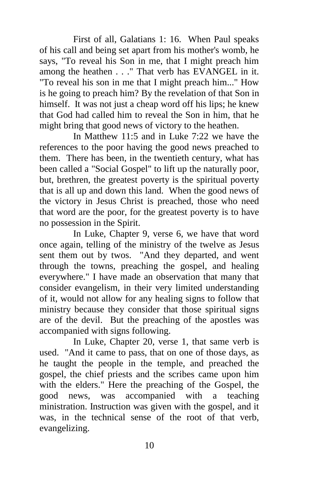First of all, Galatians 1: 16. When Paul speaks of his call and being set apart from his mother's womb, he says, "To reveal his Son in me, that I might preach him among the heathen . . ." That verb has EVANGEL in it. "To reveal his son in me that I might preach him..." How is he going to preach him? By the revelation of that Son in himself. It was not just a cheap word off his lips; he knew that God had called him to reveal the Son in him, that he might bring that good news of victory to the heathen.

In Matthew 11:5 and in Luke 7:22 we have the references to the poor having the good news preached to them. There has been, in the twentieth century, what has been called a "Social Gospel" to lift up the naturally poor, but, brethren, the greatest poverty is the spiritual poverty that is all up and down this land. When the good news of the victory in Jesus Christ is preached, those who need that word are the poor, for the greatest poverty is to have no possession in the Spirit.

In Luke, Chapter 9, verse 6, we have that word once again, telling of the ministry of the twelve as Jesus sent them out by twos. "And they departed, and went through the towns, preaching the gospel, and healing everywhere." I have made an observation that many that consider evangelism, in their very limited understanding of it, would not allow for any healing signs to follow that ministry because they consider that those spiritual signs are of the devil. But the preaching of the apostles was accompanied with signs following.

In Luke, Chapter 20, verse 1, that same verb is used. "And it came to pass, that on one of those days, as he taught the people in the temple, and preached the gospel, the chief priests and the scribes came upon him with the elders." Here the preaching of the Gospel, the good news, was accompanied with a teaching ministration. Instruction was given with the gospel, and it was, in the technical sense of the root of that verb, evangelizing.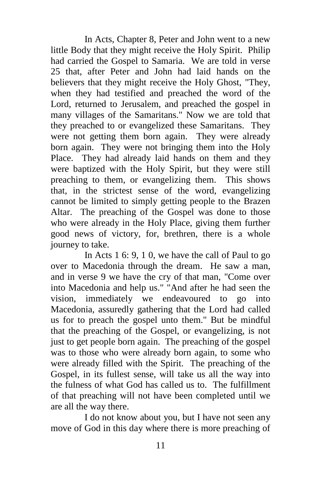In Acts, Chapter 8, Peter and John went to a new little Body that they might receive the Holy Spirit. Philip had carried the Gospel to Samaria. We are told in verse 25 that, after Peter and John had laid hands on the believers that they might receive the Holy Ghost, "They, when they had testified and preached the word of the Lord, returned to Jerusalem, and preached the gospel in many villages of the Samaritans." Now we are told that they preached to or evangelized these Samaritans. They were not getting them born again. They were already born again. They were not bringing them into the Holy Place. They had already laid hands on them and they were baptized with the Holy Spirit, but they were still preaching to them, or evangelizing them. This shows that, in the strictest sense of the word, evangelizing cannot be limited to simply getting people to the Brazen Altar. The preaching of the Gospel was done to those who were already in the Holy Place, giving them further good news of victory, for, brethren, there is a whole journey to take.

In Acts 1 6: 9, 1 0, we have the call of Paul to go over to Macedonia through the dream. He saw a man, and in verse 9 we have the cry of that man, "Come over into Macedonia and help us." "And after he had seen the vision, immediately we endeavoured to go into Macedonia, assuredly gathering that the Lord had called us for to preach the gospel unto them." But be mindful that the preaching of the Gospel, or evangelizing, is not just to get people born again. The preaching of the gospel was to those who were already born again, to some who were already filled with the Spirit. The preaching of the Gospel, in its fullest sense, will take us all the way into the fulness of what God has called us to. The fulfillment of that preaching will not have been completed until we are all the way there.

I do not know about you, but I have not seen any move of God in this day where there is more preaching of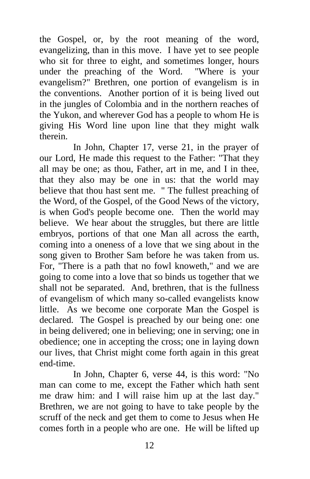the Gospel, or, by the root meaning of the word, evangelizing, than in this move. I have yet to see people who sit for three to eight, and sometimes longer, hours under the preaching of the Word. "Where is your evangelism?" Brethren, one portion of evangelism is in the conventions. Another portion of it is being lived out in the jungles of Colombia and in the northern reaches of the Yukon, and wherever God has a people to whom He is giving His Word line upon line that they might walk therein.

In John, Chapter 17, verse 21, in the prayer of our Lord, He made this request to the Father: "That they all may be one; as thou, Father, art in me, and I in thee, that they also may be one in us: that the world may believe that thou hast sent me. " The fullest preaching of the Word, of the Gospel, of the Good News of the victory, is when God's people become one. Then the world may believe. We hear about the struggles, but there are little embryos, portions of that one Man all across the earth, coming into a oneness of a love that we sing about in the song given to Brother Sam before he was taken from us. For, "There is a path that no fowl knoweth," and we are going to come into a love that so binds us together that we shall not be separated. And, brethren, that is the fullness of evangelism of which many so-called evangelists know little. As we become one corporate Man the Gospel is declared. The Gospel is preached by our being one: one in being delivered; one in believing; one in serving; one in obedience; one in accepting the cross; one in laying down our lives, that Christ might come forth again in this great end-time.

In John, Chapter 6, verse 44, is this word: "No man can come to me, except the Father which hath sent me draw him: and I will raise him up at the last day." Brethren, we are not going to have to take people by the scruff of the neck and get them to come to Jesus when He comes forth in a people who are one. He will be lifted up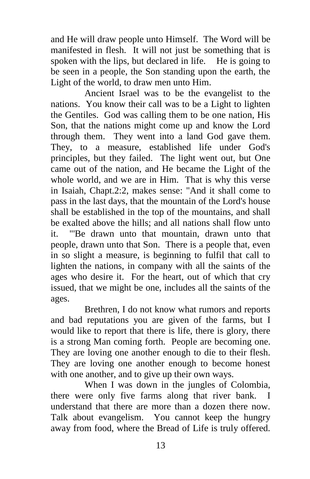and He will draw people unto Himself. The Word will be manifested in flesh. It will not just be something that is spoken with the lips, but declared in life. He is going to be seen in a people, the Son standing upon the earth, the Light of the world, to draw men unto Him.

Ancient Israel was to be the evangelist to the nations. You know their call was to be a Light to lighten the Gentiles. God was calling them to be one nation, His Son, that the nations might come up and know the Lord through them. They went into a land God gave them. They, to a measure, established life under God's principles, but they failed. The light went out, but One came out of the nation, and He became the Light of the whole world, and we are in Him. That is why this verse in Isaiah, Chapt.2:2, makes sense: "And it shall come to pass in the last days, that the mountain of the Lord's house shall be established in the top of the mountains, and shall be exalted above the hills; and all nations shall flow unto it. "'Be drawn unto that mountain, drawn unto that people, drawn unto that Son. There is a people that, even in so slight a measure, is beginning to fulfil that call to lighten the nations, in company with all the saints of the ages who desire it. For the heart, out of which that cry issued, that we might be one, includes all the saints of the ages.

Brethren, I do not know what rumors and reports and bad reputations you are given of the farms, but I would like to report that there is life, there is glory, there is a strong Man coming forth. People are becoming one. They are loving one another enough to die to their flesh. They are loving one another enough to become honest with one another, and to give up their own ways.

When I was down in the jungles of Colombia, there were only five farms along that river bank. I understand that there are more than a dozen there now. Talk about evangelism. You cannot keep the hungry away from food, where the Bread of Life is truly offered.